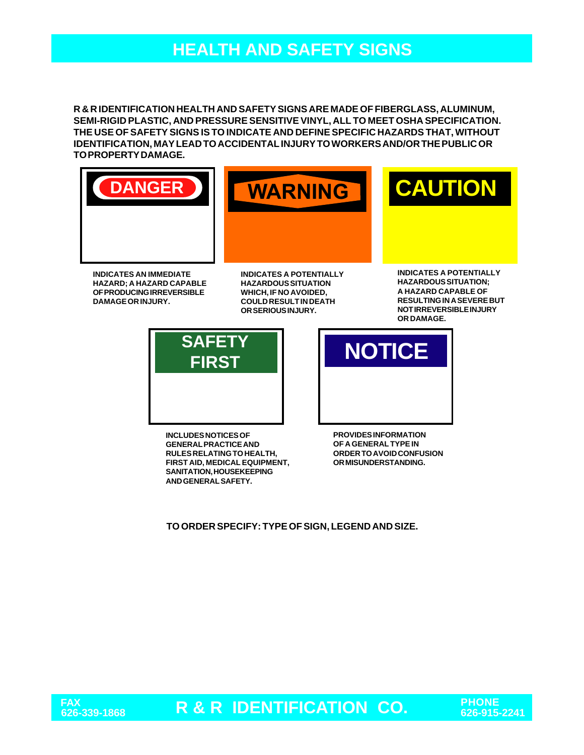# **HEALTH AND SAFETY SIGNS**

**R & R IDENTIFICATION HEALTH AND SAFETY SIGNS ARE MADE OF FIBERGLASS, ALUMINUM, SEMI-RIGID PLASTIC, AND PRESSURE SENSITIVE VINYL, ALL TO MEET OSHA SPECIFICATION. THE USE OF SAFETY SIGNS IS TO INDICATE AND DEFINE SPECIFIC HAZARDS THAT, WITHOUT IDENTIFICATION, MAY LEAD TO ACCIDENTAL INJURY TO WORKERS AND/OR THE PUBLIC OR TO PROPERTY DAMAGE.**







**INDICATES AN IMMEDIATE HAZARD; A HAZARD CAPABLE OF PRODUCING IRREVERSIBLE DAMAGE OR INJURY.**

**INDICATES A POTENTIALLY HAZARDOUS SITUATION WHICH, IF NO AVOIDED, COULD RESULT IN DEATH OR SERIOUS INJURY.**

**INDICATES A POTENTIALLY HAZARDOUS SITUATION; A HAZARD CAPABLE OF RESULTING IN A SEVERE BUT NOT IRREVERSIBLE INJURY OR DAMAGE.**



**INCLUDES NOTICES OF GENERAL PRACTICE AND RULES RELATING TO HEALTH, FIRST AID, MEDICAL EQUIPMENT, SANITATION, HOUSEKEEPING AND GENERAL SAFETY.**

**FIRST NOTICE** 

**PROVIDES INFORMATION OF A GENERAL TYPE IN ORDER TO AVOID CONFUSION OR MISUNDERSTANDING.**

**TO ORDER SPECIFY: TYPE OF SIGN, LEGEND AND SIZE.**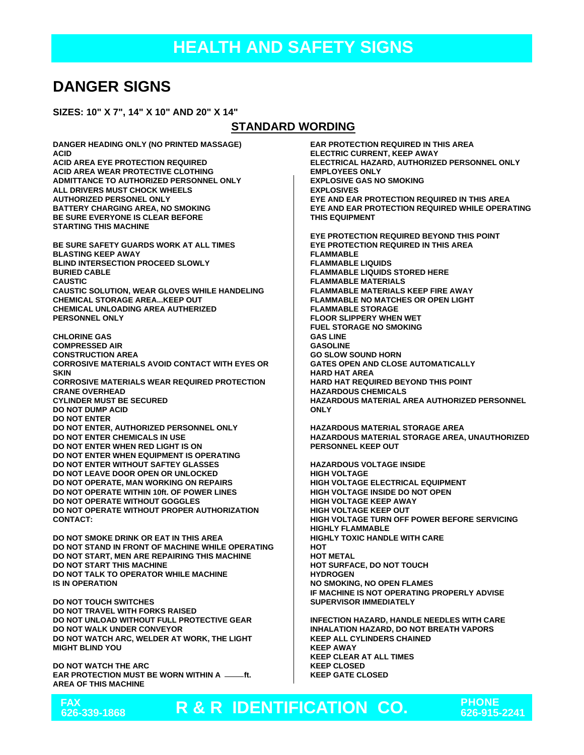## **DANGER SIGNS**

**SIZES: 10" X 7", 14" X 10" AND 20" X 14"**

#### **STANDARD WORDING**

**DANGER HEADING ONLY (NO PRINTED MASSAGE) ACID ACID AREA EYE PROTECTION REQUIRED ACID AREA WEAR PROTECTIVE CLOTHING ADMITTANCE TO AUTHORIZED PERSONNEL ONLY ALL DRIVERS MUST CHOCK WHEELS AUTHORIZED PERSONEL ONLY BATTERY CHARGING AREA, NO SMOKING BE SURE EVERYONE IS CLEAR BEFORE STARTING THIS MACHINE BE SURE SAFETY GUARDS WORK AT ALL TIMES BLASTING KEEP AWAY BLIND INTERSECTION PROCEED SLOWLY BURIED CABLE CAUSTIC CAUSTIC SOLUTION, WEAR GLOVES WHILE HANDELING**

**CHEMICAL STORAGE AREA...KEEP OUT CHEMICAL UNLOADING AREA AUTHERIZED PERSONNEL ONLY**

**CHLORINE GAS COMPRESSED AIR CONSTRUCTION AREA CORROSIVE MATERIALS AVOID CONTACT WITH EYES OR SKIN CORROSIVE MATERIALS WEAR REQUIRED PROTECTION CRANE OVERHEAD CYLINDER MUST BE SECURED DO NOT DUMP ACID DO NOT ENTER DO NOT ENTER, AUTHORIZED PERSONNEL ONLY DO NOT ENTER CHEMICALS IN USE DO NOT ENTER WHEN RED LIGHT IS ON DO NOT ENTER WHEN EQUIPMENT IS OPERATING DO NOT ENTER WITHOUT SAFTEY GLASSES DO NOT LEAVE DOOR OPEN OR UNLOCKED DO NOT OPERATE, MAN WORKING ON REPAIRS DO NOT OPERATE WITHIN 10ft. OF POWER LINES DO NOT OPERATE WITHOUT GOGGLES DO NOT OPERATE WITHOUT PROPER AUTHORIZATION CONTACT:**

**DO NOT SMOKE DRINK OR EAT IN THIS AREA DO NOT STAND IN FRONT OF MACHINE WHILE OPERATING DO NOT START, MEN ARE REPAIRING THIS MACHINE DO NOT START THIS MACHINE DO NOT TALK TO OPERATOR WHILE MACHINE IS IN OPERATION**

**DO NOT TOUCH SWITCHES DO NOT TRAVEL WITH FORKS RAISED DO NOT UNLOAD WITHOUT FULL PROTECTIVE GEAR DO NOT WALK UNDER CONVEYOR DO NOT WATCH ARC, WELDER AT WORK, THE LIGHT MIGHT BLIND YOU**

**DO NOT WATCH THE ARC EAR PROTECTION MUST BE WORN WITHIN A ft. AREA OF THIS MACHINE**



**EAR PROTECTION REQUIRED IN THIS AREA ELECTRIC CURRENT, KEEP AWAY ELECTRICAL HAZARD, AUTHORIZED PERSONNEL ONLY EMPLOYEES ONLY EXPLOSIVE GAS NO SMOKING EXPLOSIVES EYE AND EAR PROTECTION REQUIRED IN THIS AREA EYE AND EAR PROTECTION REQUIRED WHILE OPERATING THIS EQUIPMENT EYE PROTECTION REQUIRED BEYOND THIS POINT EYE PROTECTION REQUIRED IN THIS AREA FLAMMABLE FLAMMABLE LIQUIDS FLAMMABLE LIQUIDS STORED HERE FLAMMABLE MATERIALS FLAMMABLE MATERIALS KEEP FIRE AWAY FLAMMABLE NO MATCHES OR OPEN LIGHT FLAMMABLE STORAGE FLOOR SLIPPERY WHEN WET FUEL STORAGE NO SMOKING**

**GAS LINE GASOLINE GO SLOW SOUND HORN GATES OPEN AND CLOSE AUTOMATICALLY HARD HAT AREA HARD HAT REQUIRED BEYOND THIS POINT HAZARDOUS CHEMICALS HAZARDOUS MATERIAL AREA AUTHORIZED PERSONNEL ONLY**

**HAZARDOUS MATERIAL STORAGE AREA HAZARDOUS MATERIAL STORAGE AREA, UNAUTHORIZED PERSONNEL KEEP OUT**

**HAZARDOUS VOLTAGE INSIDE HIGH VOLTAGE HIGH VOLTAGE ELECTRICAL EQUIPMENT HIGH VOLTAGE INSIDE DO NOT OPEN HIGH VOLTAGE KEEP AWAY HIGH VOLTAGE KEEP OUT HIGH VOLTAGE TURN OFF POWER BEFORE SERVICING HIGHLY FLAMMABLE HIGHLY TOXIC HANDLE WITH CARE HOT HOT METAL HOT SURFACE, DO NOT TOUCH HYDROGEN NO SMOKING, NO OPEN FLAMES IF MACHINE IS NOT OPERATING PROPERLY ADVISE SUPERVISOR IMMEDIATELY**

**INFECTION HAZARD, HANDLE NEEDLES WITH CARE INHALATION HAZARD, DO NOT BREATH VAPORS KEEP ALL CYLINDERS CHAINED KEEP AWAY KEEP CLEAR AT ALL TIMES KEEP CLOSED KEEP GATE CLOSED**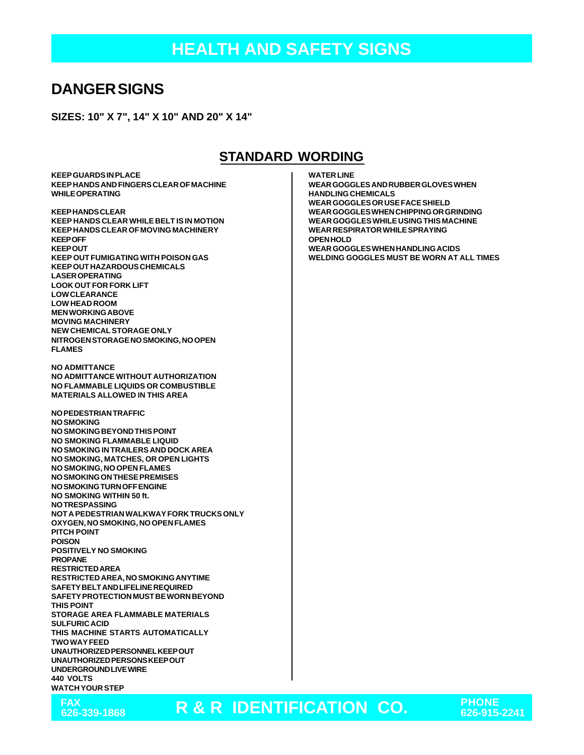## **DANGER SIGNS**

**SIZES: 10" X 7", 14" X 10" AND 20" X 14"**

#### **STANDARD WORDING**

**KEEP GUARDS IN PLACE KEEP HANDS AND FINGERS CLEAR OF MACHINE WHILE OPERATING**

**KEEP HANDS CLEAR KEEP HANDS CLEAR WHILE BELT IS IN MOTION KEEP HANDS CLEAR OF MOVING MACHINERY KEEP OFF KEEP OUT KEEP OUT FUMIGATING WITH POISON GAS KEEP OUT HAZARDOUS CHEMICALS LASER OPERATING LOOK OUT FOR FORK LIFT LOW CLEARANCE LOW HEAD ROOM MEN WORKING ABOVE MOVING MACHINERY NEW CHEMICAL STORAGE ONLY NITROGEN STORAGE NO SMOKING, NO OPEN FLAMES**

**NO ADMITTANCE NO ADMITTANCE WITHOUT AUTHORIZATION NO FLAMMABLE LIQUIDS OR COMBUSTIBLE MATERIALS ALLOWED IN THIS AREA**

**NO PEDESTRIAN TRAFFIC NO SMOKING NO SMOKING BEYOND THIS POINT NO SMOKING FLAMMABLE LIQUID NO SMOKING IN TRAILERS AND DOCK AREA NO SMOKING, MATCHES, OR OPEN LIGHTS NO SMOKING, NO OPEN FLAMES NO SMOKING ON THESE PREMISES NO SMOKING TURN OFF ENGINE NO SMOKING WITHIN 50 ft. NO TRESPASSING NOT A PEDESTRIAN WALKWAY FORK TRUCKS ONLY OXYGEN, NO SMOKING, NO OPEN FLAMES PITCH POINT POISON POSITIVELY NO SMOKING PROPANE RESTRICTED AREA RESTRICTED AREA, NO SMOKING ANYTIME SAFETY BELT AND LIFELINE REQUIRED SAFETY PROTECTION MUST BE WORN BEYOND THIS POINT STORAGE AREA FLAMMABLE MATERIALS SULFURIC ACID THIS MACHINE STARTS AUTOMATICALLY TWO WAY FEED UNAUTHORIZED PERSONNEL KEEP OUT UNAUTHORIZED PERSONS KEEP OUT UNDERGROUND LIVE WIRE 440 VOLTS WATCH YOUR STEP**

**FAX**

**WATER LINE**

**WEAR GOGGLES AND RUBBER GLOVES WHEN HANDLING CHEMICALS WEAR GOGGLES OR USE FACE SHIELD WEAR GOGGLES WHEN CHIPPING OR GRINDING WEAR GOGGLES WHILE USING THIS MACHINE WEAR RESPIRATOR WHILE SPRAYING OPEN HOLD WEAR GOGGLES WHEN HANDLING ACIDS WELDING GOGGLES MUST BE WORN AT ALL TIMES**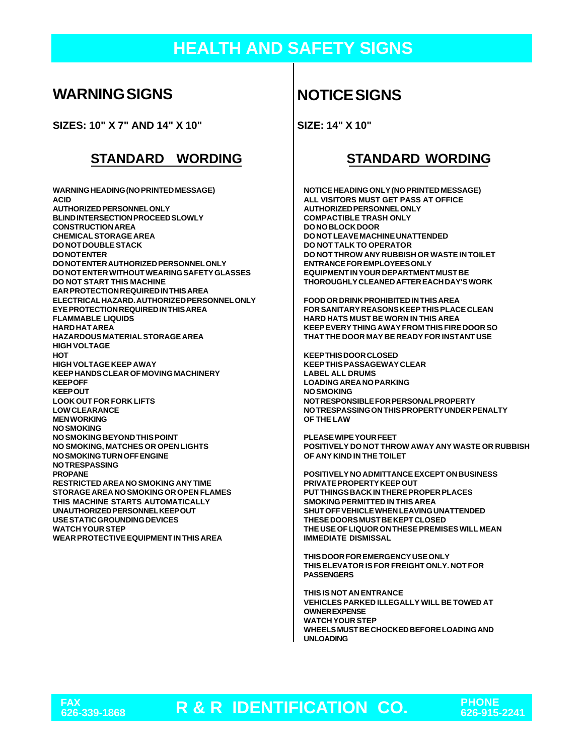# **HEALTH AND SAFETY SIGNS**

## **WARNING SIGNS**

**SIZES: 10" X 7" AND 14" X 10"**

#### **STANDARD WORDING STANDARD WORDING**

**WARNING HEADING (NO PRINTED MESSAGE) ACID AUTHORIZED PERSONNEL ONLY BLIND INTERSECTION PROCEED SLOWLY CONSTRUCTION AREA CHEMICAL STORAGE AREA DO NOT DOUBLE STACK DO NOT ENTER DO NOT ENTER AUTHORIZED PERSONNEL ONLY DO NOT ENTER WITHOUT WEARING SAFETY GLASSES DO NOT START THIS MACHINE EAR PROTECTION REQUIRED IN THIS AREA ELECTRICAL HAZARD. AUTHORIZED PERSONNEL ONLY EYE PROTECTION REQUIRED IN THIS AREA FLAMMABLE LIQUIDS HARD HAT AREA HAZARDOUS MATERIAL STORAGE AREA HIGH VOLTAGE HOT HIGH VOLTAGE KEEP AWAY KEEP HANDS CLEAR OF MOVING MACHINERY KEEP OFF KEEP OUT LOOK OUT FOR FORK LIFTS LOW CLEARANCE MEN WORKING NO SMOKING NO SMOKING BEYOND THIS POINT NO SMOKING, MATCHES OR OPEN LIGHTS NO SMOKING TURN OFF ENGINE NO TRESPASSING PROPANE RESTRICTED AREA NO SMOKING ANY TIME STORAGE AREA NO SMOKING OR OPEN FLAMES THIS MACHINE STARTS AUTOMATICALLY UNAUTHORIZED PERSONNEL KEEP OUT USE STATIC GROUNDING DEVICES WATCH YOUR STEP WEAR PROTECTIVE EQUIPMENT IN THIS AREA**

## **NOTICE SIGNS**

**SIZE: 14" X 10"**

**NOTICE HEADING ONLY (NO PRINTED MESSAGE) ALL VISITORS MUST GET PASS AT OFFICE AUTHORIZED PERSONNEL ONLY COMPACTIBLE TRASH ONLY DO NO BLOCK DOOR DO NOT LEAVE MACHINE UNATTENDED DO NOT TALK TO OPERATOR DO NOT THROW ANY RUBBISH OR WASTE IN TOILET ENTRANCE FOR EMPLOYEES ONLY EQUIPMENT IN YOUR DEPARTMENT MUST BE THOROUGHLY CLEANED AFTER EACH DAY'S WORK**

**FOOD OR DRINK PROHIBITED IN THIS AREA FOR SANITARY REASONS KEEP THIS PLACE CLEAN HARD HATS MUST BE WORN IN THIS AREA KEEP EVERY THING AWAY FROM THIS FIRE DOOR SO THAT THE DOOR MAY BE READY FOR INSTANT USE**

**KEEP THIS DOOR CLOSED KEEP THIS PASSAGEWAY CLEAR LABEL ALL DRUMS LOADING AREA NO PARKING NO SMOKING NOT RESPONSIBLE FOR PERSONAL PROPERTY NO TRESPASSING ON THIS PROPERTY UNDER PENALTY OF THE LAW**

**PLEASE WIPE YOUR FEET POSITIVELY DO NOT THROW AWAY ANY WASTE OR RUBBISH OF ANY KIND IN THE TOILET**

**POSITIVELY NO ADMITTANCE EXCEPT ON BUSINESS PRIVATE PROPERTY KEEP OUT PUT THINGS BACK IN THERE PROPER PLACES SMOKING PERMITTED IN THIS AREA SHUT OFF VEHICLE WHEN LEAVING UNATTENDED THESE DOORS MUST BE KEPT CLOSED THE USE OF LIQUOR ON THESE PREMISES WILL MEAN IMMEDIATE DISMISSAL**

**THIS DOOR FOR EMERGENCY USE ONLY THIS ELEVATOR IS FOR FREIGHT ONLY. NOT FOR PASSENGERS**

**THIS IS NOT AN ENTRANCE VEHICLES PARKED ILLEGALLY WILL BE TOWED AT OWNER EXPENSE WATCH YOUR STEP WHEELS MUST BE CHOCKED BEFORE LOADING AND UNLOADING**

FAX<br>626-339-1868